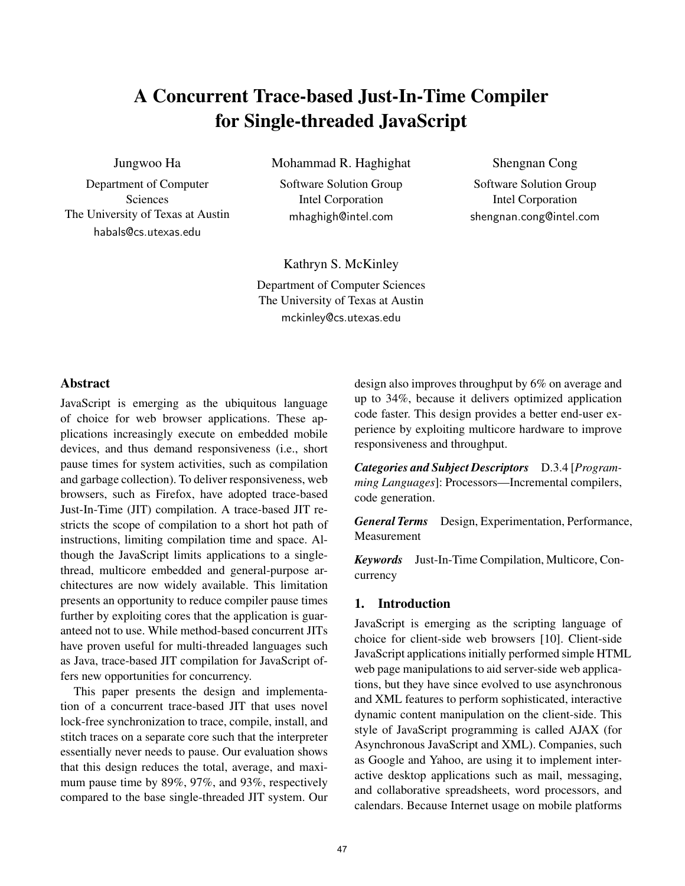# A Concurrent Trace-based Just-In-Time Compiler for Single-threaded JavaScript

Jungwoo Ha

Department of Computer Sciences The University of Texas at Austin habals@cs.utexas.edu

Mohammad R. Haghighat

Software Solution Group Intel Corporation mhaghigh@intel.com

Shengnan Cong

Software Solution Group Intel Corporation shengnan.cong@intel.com

Kathryn S. McKinley

Department of Computer Sciences The University of Texas at Austin mckinley@cs.utexas.edu

## Abstract

JavaScript is emerging as the ubiquitous language of choice for web browser applications. These applications increasingly execute on embedded mobile devices, and thus demand responsiveness (i.e., short pause times for system activities, such as compilation and garbage collection). To deliver responsiveness, web browsers, such as Firefox, have adopted trace-based Just-In-Time (JIT) compilation. A trace-based JIT restricts the scope of compilation to a short hot path of instructions, limiting compilation time and space. Although the JavaScript limits applications to a singlethread, multicore embedded and general-purpose architectures are now widely available. This limitation presents an opportunity to reduce compiler pause times further by exploiting cores that the application is guaranteed not to use. While method-based concurrent JITs have proven useful for multi-threaded languages such as Java, trace-based JIT compilation for JavaScript offers new opportunities for concurrency.

This paper presents the design and implementation of a concurrent trace-based JIT that uses novel lock-free synchronization to trace, compile, install, and stitch traces on a separate core such that the interpreter essentially never needs to pause. Our evaluation shows that this design reduces the total, average, and maximum pause time by 89%, 97%, and 93%, respectively compared to the base single-threaded JIT system. Our

design also improves throughput by 6% on average and up to 34%, because it delivers optimized application code faster. This design provides a better end-user experience by exploiting multicore hardware to improve responsiveness and throughput.

*Categories and Subject Descriptors* D.3.4 [*Programming Languages*]: Processors—Incremental compilers, code generation.

*General Terms* Design, Experimentation, Performance, Measurement

*Keywords* Just-In-Time Compilation, Multicore, Concurrency

#### 1. Introduction

JavaScript is emerging as the scripting language of choice for client-side web browsers [10]. Client-side JavaScript applications initially performed simple HTML web page manipulations to aid server-side web applications, but they have since evolved to use asynchronous and XML features to perform sophisticated, interactive dynamic content manipulation on the client-side. This style of JavaScript programming is called AJAX (for Asynchronous JavaScript and XML). Companies, such as Google and Yahoo, are using it to implement interactive desktop applications such as mail, messaging, and collaborative spreadsheets, word processors, and calendars. Because Internet usage on mobile platforms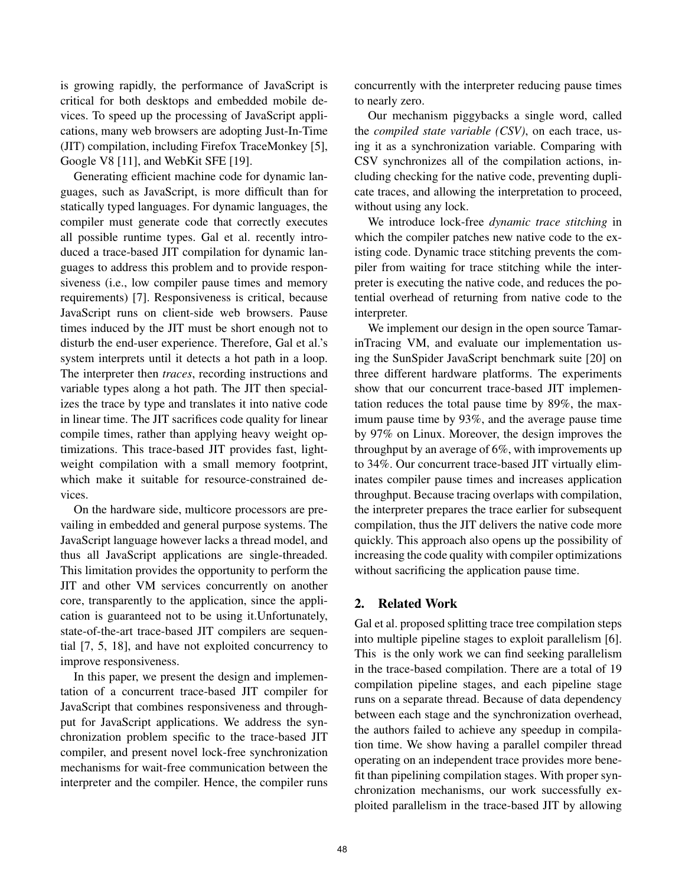is growing rapidly, the performance of JavaScript is critical for both desktops and embedded mobile devices. To speed up the processing of JavaScript applications, many web browsers are adopting Just-In-Time (JIT) compilation, including Firefox TraceMonkey [5], Google V8 [11], and WebKit SFE [19].

Generating efficient machine code for dynamic languages, such as JavaScript, is more difficult than for statically typed languages. For dynamic languages, the compiler must generate code that correctly executes all possible runtime types. Gal et al. recently introduced a trace-based JIT compilation for dynamic languages to address this problem and to provide responsiveness (i.e., low compiler pause times and memory requirements) [7]. Responsiveness is critical, because JavaScript runs on client-side web browsers. Pause times induced by the JIT must be short enough not to disturb the end-user experience. Therefore, Gal et al.'s system interprets until it detects a hot path in a loop. The interpreter then *traces*, recording instructions and variable types along a hot path. The JIT then specializes the trace by type and translates it into native code in linear time. The JIT sacrifices code quality for linear compile times, rather than applying heavy weight optimizations. This trace-based JIT provides fast, lightweight compilation with a small memory footprint, which make it suitable for resource-constrained devices.

On the hardware side, multicore processors are prevailing in embedded and general purpose systems. The JavaScript language however lacks a thread model, and thus all JavaScript applications are single-threaded. This limitation provides the opportunity to perform the JIT and other VM services concurrently on another core, transparently to the application, since the application is guaranteed not to be using it.Unfortunately, state-of-the-art trace-based JIT compilers are sequential [7, 5, 18], and have not exploited concurrency to improve responsiveness.

In this paper, we present the design and implementation of a concurrent trace-based JIT compiler for JavaScript that combines responsiveness and throughput for JavaScript applications. We address the synchronization problem specific to the trace-based JIT compiler, and present novel lock-free synchronization mechanisms for wait-free communication between the interpreter and the compiler. Hence, the compiler runs concurrently with the interpreter reducing pause times to nearly zero.

Our mechanism piggybacks a single word, called the *compiled state variable (CSV)*, on each trace, using it as a synchronization variable. Comparing with CSV synchronizes all of the compilation actions, including checking for the native code, preventing duplicate traces, and allowing the interpretation to proceed, without using any lock.

We introduce lock-free *dynamic trace stitching* in which the compiler patches new native code to the existing code. Dynamic trace stitching prevents the compiler from waiting for trace stitching while the interpreter is executing the native code, and reduces the potential overhead of returning from native code to the interpreter.

We implement our design in the open source TamarinTracing VM, and evaluate our implementation using the SunSpider JavaScript benchmark suite [20] on three different hardware platforms. The experiments show that our concurrent trace-based JIT implementation reduces the total pause time by 89%, the maximum pause time by 93%, and the average pause time by 97% on Linux. Moreover, the design improves the throughput by an average of 6%, with improvements up to 34%. Our concurrent trace-based JIT virtually eliminates compiler pause times and increases application throughput. Because tracing overlaps with compilation, the interpreter prepares the trace earlier for subsequent compilation, thus the JIT delivers the native code more quickly. This approach also opens up the possibility of increasing the code quality with compiler optimizations without sacrificing the application pause time.

## 2. Related Work

Gal et al. proposed splitting trace tree compilation steps into multiple pipeline stages to exploit parallelism [6]. This is the only work we can find seeking parallelism in the trace-based compilation. There are a total of 19 compilation pipeline stages, and each pipeline stage runs on a separate thread. Because of data dependency between each stage and the synchronization overhead, the authors failed to achieve any speedup in compilation time. We show having a parallel compiler thread operating on an independent trace provides more benefit than pipelining compilation stages. With proper synchronization mechanisms, our work successfully exploited parallelism in the trace-based JIT by allowing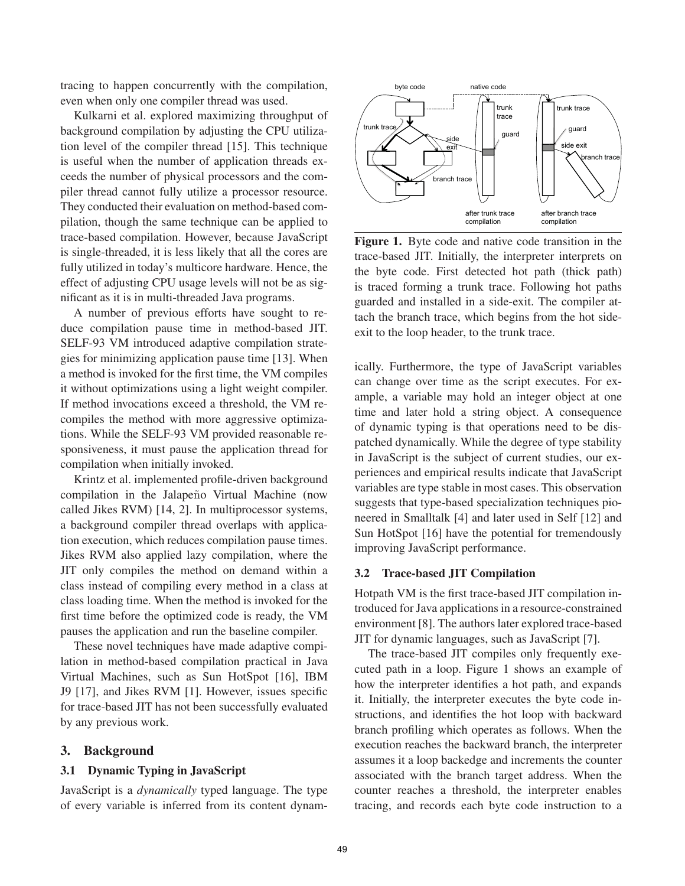tracing to happen concurrently with the compilation, even when only one compiler thread was used.

Kulkarni et al. explored maximizing throughput of background compilation by adjusting the CPU utilization level of the compiler thread [15]. This technique is useful when the number of application threads exceeds the number of physical processors and the compiler thread cannot fully utilize a processor resource. They conducted their evaluation on method-based compilation, though the same technique can be applied to trace-based compilation. However, because JavaScript is single-threaded, it is less likely that all the cores are fully utilized in today's multicore hardware. Hence, the effect of adjusting CPU usage levels will not be as significant as it is in multi-threaded Java programs.

A number of previous efforts have sought to reduce compilation pause time in method-based JIT. SELF-93 VM introduced adaptive compilation strategies for minimizing application pause time [13]. When a method is invoked for the first time, the VM compiles it without optimizations using a light weight compiler. If method invocations exceed a threshold, the VM recompiles the method with more aggressive optimizations. While the SELF-93 VM provided reasonable responsiveness, it must pause the application thread for compilation when initially invoked.

Krintz et al. implemented profile-driven background compilation in the Jalapeño Virtual Machine (now called Jikes RVM) [14, 2]. In multiprocessor systems, a background compiler thread overlaps with application execution, which reduces compilation pause times. Jikes RVM also applied lazy compilation, where the JIT only compiles the method on demand within a class instead of compiling every method in a class at class loading time. When the method is invoked for the first time before the optimized code is ready, the VM pauses the application and run the baseline compiler.

These novel techniques have made adaptive compilation in method-based compilation practical in Java Virtual Machines, such as Sun HotSpot [16], IBM J9 [17], and Jikes RVM [1]. However, issues specific for trace-based JIT has not been successfully evaluated by any previous work.

## 3. Background

## 3.1 Dynamic Typing in JavaScript

JavaScript is a *dynamically* typed language. The type of every variable is inferred from its content dynam-



Figure 1. Byte code and native code transition in the trace-based JIT. Initially, the interpreter interprets on the byte code. First detected hot path (thick path) is traced forming a trunk trace. Following hot paths guarded and installed in a side-exit. The compiler attach the branch trace, which begins from the hot sideexit to the loop header, to the trunk trace.

ically. Furthermore, the type of JavaScript variables can change over time as the script executes. For example, a variable may hold an integer object at one time and later hold a string object. A consequence of dynamic typing is that operations need to be dispatched dynamically. While the degree of type stability in JavaScript is the subject of current studies, our experiences and empirical results indicate that JavaScript variables are type stable in most cases. This observation suggests that type-based specialization techniques pioneered in Smalltalk [4] and later used in Self [12] and Sun HotSpot [16] have the potential for tremendously improving JavaScript performance.

#### 3.2 Trace-based JIT Compilation

Hotpath VM is the first trace-based JIT compilation introduced for Java applications in a resource-constrained environment [8]. The authors later explored trace-based JIT for dynamic languages, such as JavaScript [7].

The trace-based JIT compiles only frequently executed path in a loop. Figure 1 shows an example of how the interpreter identifies a hot path, and expands it. Initially, the interpreter executes the byte code instructions, and identifies the hot loop with backward branch profiling which operates as follows. When the execution reaches the backward branch, the interpreter assumes it a loop backedge and increments the counter associated with the branch target address. When the counter reaches a threshold, the interpreter enables tracing, and records each byte code instruction to a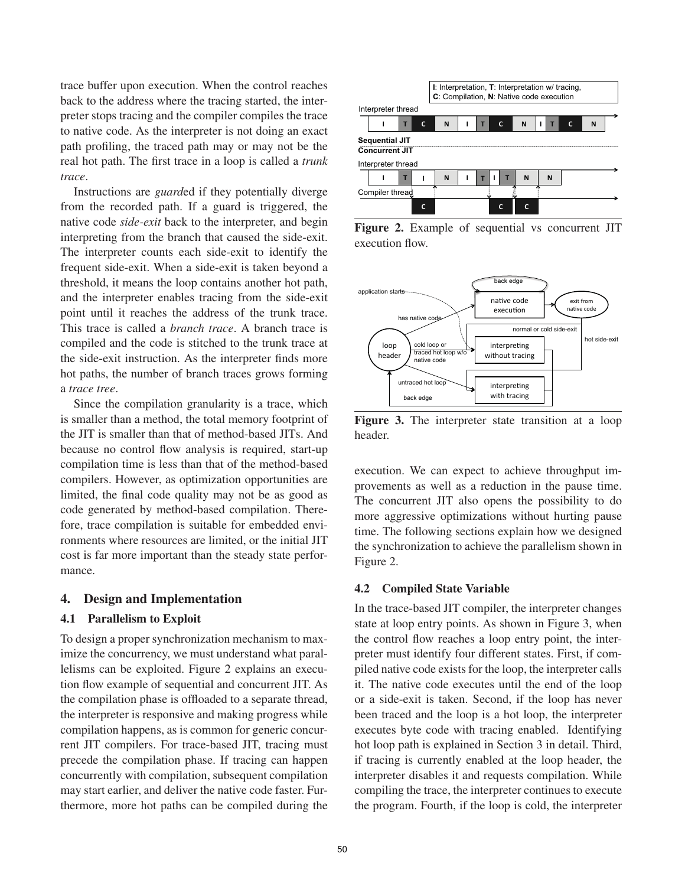trace buffer upon execution. When the control reaches back to the address where the tracing started, the interpreter stops tracing and the compiler compiles the trace to native code. As the interpreter is not doing an exact path profiling, the traced path may or may not be the real hot path. The first trace in a loop is called a *trunk trace*.

Instructions are *guard*ed if they potentially diverge from the recorded path. If a guard is triggered, the native code *side-exit* back to the interpreter, and begin interpreting from the branch that caused the side-exit. The interpreter counts each side-exit to identify the frequent side-exit. When a side-exit is taken beyond a threshold, it means the loop contains another hot path, and the interpreter enables tracing from the side-exit point until it reaches the address of the trunk trace. This trace is called a *branch trace*. A branch trace is compiled and the code is stitched to the trunk trace at the side-exit instruction. As the interpreter finds more hot paths, the number of branch traces grows forming a *trace tree*.

Since the compilation granularity is a trace, which is smaller than a method, the total memory footprint of the JIT is smaller than that of method-based JITs. And because no control flow analysis is required, start-up compilation time is less than that of the method-based compilers. However, as optimization opportunities are limited, the final code quality may not be as good as code generated by method-based compilation. Therefore, trace compilation is suitable for embedded environments where resources are limited, or the initial JIT cost is far more important than the steady state performance.

## 4. Design and Implementation

#### 4.1 Parallelism to Exploit

To design a proper synchronization mechanism to maximize the concurrency, we must understand what parallelisms can be exploited. Figure 2 explains an execution flow example of sequential and concurrent JIT. As the compilation phase is offloaded to a separate thread, the interpreter is responsive and making progress while compilation happens, as is common for generic concurrent JIT compilers. For trace-based JIT, tracing must precede the compilation phase. If tracing can happen concurrently with compilation, subsequent compilation may start earlier, and deliver the native code faster. Furthermore, more hot paths can be compiled during the



Figure 2. Example of sequential vs concurrent JIT execution flow.



Figure 3. The interpreter state transition at a loop header.

execution. We can expect to achieve throughput improvements as well as a reduction in the pause time. The concurrent JIT also opens the possibility to do more aggressive optimizations without hurting pause time. The following sections explain how we designed the synchronization to achieve the parallelism shown in Figure 2.

#### 4.2 Compiled State Variable

In the trace-based JIT compiler, the interpreter changes state at loop entry points. As shown in Figure 3, when the control flow reaches a loop entry point, the interpreter must identify four different states. First, if compiled native code exists for the loop, the interpreter calls it. The native code executes until the end of the loop or a side-exit is taken. Second, if the loop has never been traced and the loop is a hot loop, the interpreter executes byte code with tracing enabled. Identifying hot loop path is explained in Section 3 in detail. Third, if tracing is currently enabled at the loop header, the interpreter disables it and requests compilation. While compiling the trace, the interpreter continues to execute the program. Fourth, if the loop is cold, the interpreter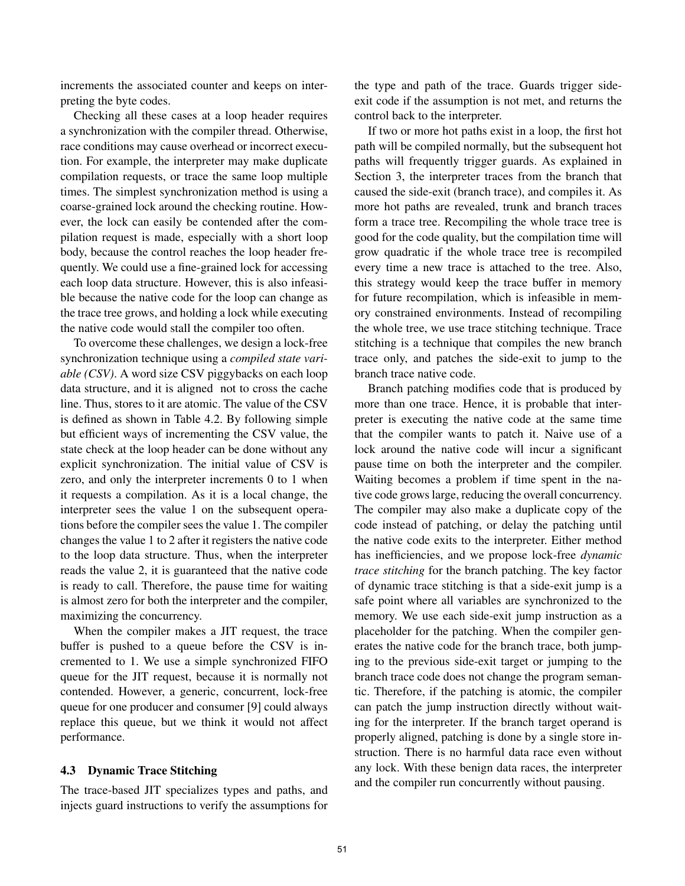increments the associated counter and keeps on interpreting the byte codes.

Checking all these cases at a loop header requires a synchronization with the compiler thread. Otherwise, race conditions may cause overhead or incorrect execution. For example, the interpreter may make duplicate compilation requests, or trace the same loop multiple times. The simplest synchronization method is using a coarse-grained lock around the checking routine. However, the lock can easily be contended after the compilation request is made, especially with a short loop body, because the control reaches the loop header frequently. We could use a fine-grained lock for accessing each loop data structure. However, this is also infeasible because the native code for the loop can change as the trace tree grows, and holding a lock while executing the native code would stall the compiler too often.

To overcome these challenges, we design a lock-free synchronization technique using a *compiled state variable (CSV)*. A word size CSV piggybacks on each loop data structure, and it is aligned not to cross the cache line. Thus, stores to it are atomic. The value of the CSV is defined as shown in Table 4.2. By following simple but efficient ways of incrementing the CSV value, the state check at the loop header can be done without any explicit synchronization. The initial value of CSV is zero, and only the interpreter increments 0 to 1 when it requests a compilation. As it is a local change, the interpreter sees the value 1 on the subsequent operations before the compiler sees the value 1. The compiler changes the value 1 to 2 after it registers the native code to the loop data structure. Thus, when the interpreter reads the value 2, it is guaranteed that the native code is ready to call. Therefore, the pause time for waiting is almost zero for both the interpreter and the compiler, maximizing the concurrency.

When the compiler makes a JIT request, the trace buffer is pushed to a queue before the CSV is incremented to 1. We use a simple synchronized FIFO queue for the JIT request, because it is normally not contended. However, a generic, concurrent, lock-free queue for one producer and consumer [9] could always replace this queue, but we think it would not affect performance.

#### 4.3 Dynamic Trace Stitching

The trace-based JIT specializes types and paths, and injects guard instructions to verify the assumptions for the type and path of the trace. Guards trigger sideexit code if the assumption is not met, and returns the control back to the interpreter.

If two or more hot paths exist in a loop, the first hot path will be compiled normally, but the subsequent hot paths will frequently trigger guards. As explained in Section 3, the interpreter traces from the branch that caused the side-exit (branch trace), and compiles it. As more hot paths are revealed, trunk and branch traces form a trace tree. Recompiling the whole trace tree is good for the code quality, but the compilation time will grow quadratic if the whole trace tree is recompiled every time a new trace is attached to the tree. Also, this strategy would keep the trace buffer in memory for future recompilation, which is infeasible in memory constrained environments. Instead of recompiling the whole tree, we use trace stitching technique. Trace stitching is a technique that compiles the new branch trace only, and patches the side-exit to jump to the branch trace native code.

Branch patching modifies code that is produced by more than one trace. Hence, it is probable that interpreter is executing the native code at the same time that the compiler wants to patch it. Naive use of a lock around the native code will incur a significant pause time on both the interpreter and the compiler. Waiting becomes a problem if time spent in the native code grows large, reducing the overall concurrency. The compiler may also make a duplicate copy of the code instead of patching, or delay the patching until the native code exits to the interpreter. Either method has inefficiencies, and we propose lock-free *dynamic trace stitching* for the branch patching. The key factor of dynamic trace stitching is that a side-exit jump is a safe point where all variables are synchronized to the memory. We use each side-exit jump instruction as a placeholder for the patching. When the compiler generates the native code for the branch trace, both jumping to the previous side-exit target or jumping to the branch trace code does not change the program semantic. Therefore, if the patching is atomic, the compiler can patch the jump instruction directly without waiting for the interpreter. If the branch target operand is properly aligned, patching is done by a single store instruction. There is no harmful data race even without any lock. With these benign data races, the interpreter and the compiler run concurrently without pausing.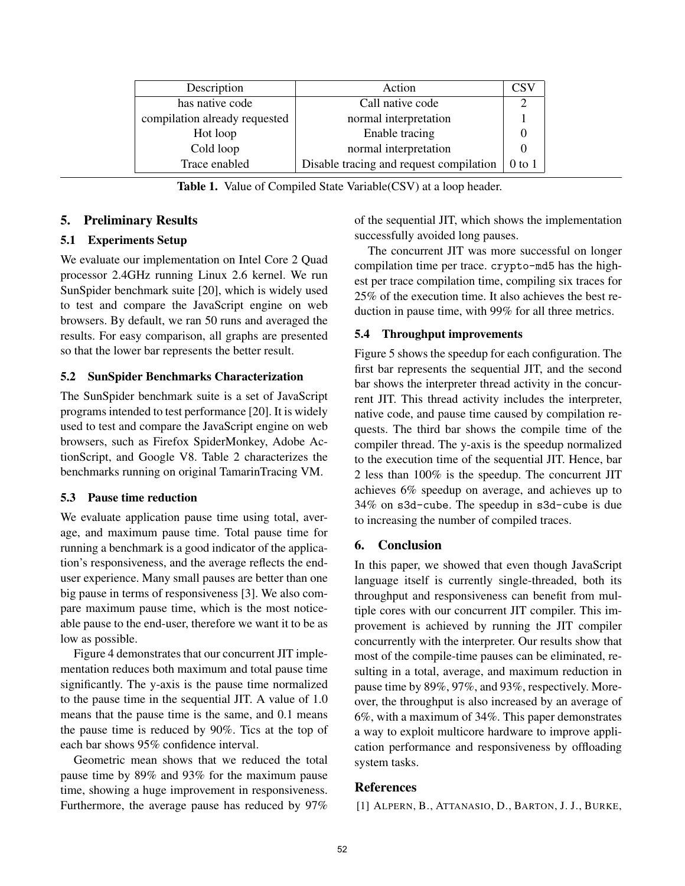| Description                   | Action                                  | CS     |
|-------------------------------|-----------------------------------------|--------|
| has native code               | Call native code                        |        |
| compilation already requested | normal interpretation                   |        |
| Hot loop                      | Enable tracing                          |        |
| Cold loop                     | normal interpretation                   |        |
| Trace enabled                 | Disable tracing and request compilation | 0 to 1 |

Table 1. Value of Compiled State Variable(CSV) at a loop header.

## 5. Preliminary Results

## 5.1 Experiments Setup

We evaluate our implementation on Intel Core 2 Quad processor 2.4GHz running Linux 2.6 kernel. We run SunSpider benchmark suite [20], which is widely used to test and compare the JavaScript engine on web browsers. By default, we ran 50 runs and averaged the results. For easy comparison, all graphs are presented so that the lower bar represents the better result.

## 5.2 SunSpider Benchmarks Characterization

The SunSpider benchmark suite is a set of JavaScript programs intended to test performance [20]. It is widely used to test and compare the JavaScript engine on web browsers, such as Firefox SpiderMonkey, Adobe ActionScript, and Google V8. Table 2 characterizes the benchmarks running on original TamarinTracing VM.

# 5.3 Pause time reduction

We evaluate application pause time using total, average, and maximum pause time. Total pause time for running a benchmark is a good indicator of the application's responsiveness, and the average reflects the enduser experience. Many small pauses are better than one big pause in terms of responsiveness [3]. We also compare maximum pause time, which is the most noticeable pause to the end-user, therefore we want it to be as low as possible.

Figure 4 demonstrates that our concurrent JIT implementation reduces both maximum and total pause time significantly. The y-axis is the pause time normalized to the pause time in the sequential JIT. A value of 1.0 means that the pause time is the same, and 0.1 means the pause time is reduced by 90%. Tics at the top of each bar shows 95% confidence interval.

Geometric mean shows that we reduced the total pause time by 89% and 93% for the maximum pause time, showing a huge improvement in responsiveness. Furthermore, the average pause has reduced by 97%

of the sequential JIT, which shows the implementation successfully avoided long pauses.

The concurrent JIT was more successful on longer compilation time per trace. crypto-md5 has the highest per trace compilation time, compiling six traces for 25% of the execution time. It also achieves the best reduction in pause time, with 99% for all three metrics.

## 5.4 Throughput improvements

Figure 5 shows the speedup for each configuration. The first bar represents the sequential JIT, and the second bar shows the interpreter thread activity in the concurrent JIT. This thread activity includes the interpreter, native code, and pause time caused by compilation requests. The third bar shows the compile time of the compiler thread. The y-axis is the speedup normalized to the execution time of the sequential JIT. Hence, bar 2 less than 100% is the speedup. The concurrent JIT achieves 6% speedup on average, and achieves up to 34% on s3d-cube. The speedup in s3d-cube is due to increasing the number of compiled traces.

# 6. Conclusion

In this paper, we showed that even though JavaScript language itself is currently single-threaded, both its throughput and responsiveness can benefit from multiple cores with our concurrent JIT compiler. This improvement is achieved by running the JIT compiler concurrently with the interpreter. Our results show that most of the compile-time pauses can be eliminated, resulting in a total, average, and maximum reduction in pause time by 89%, 97%, and 93%, respectively. Moreover, the throughput is also increased by an average of 6%, with a maximum of 34%. This paper demonstrates a way to exploit multicore hardware to improve application performance and responsiveness by offloading system tasks.

# References

[1] ALPERN, B., ATTANASIO, D., BARTON, J. J., BURKE,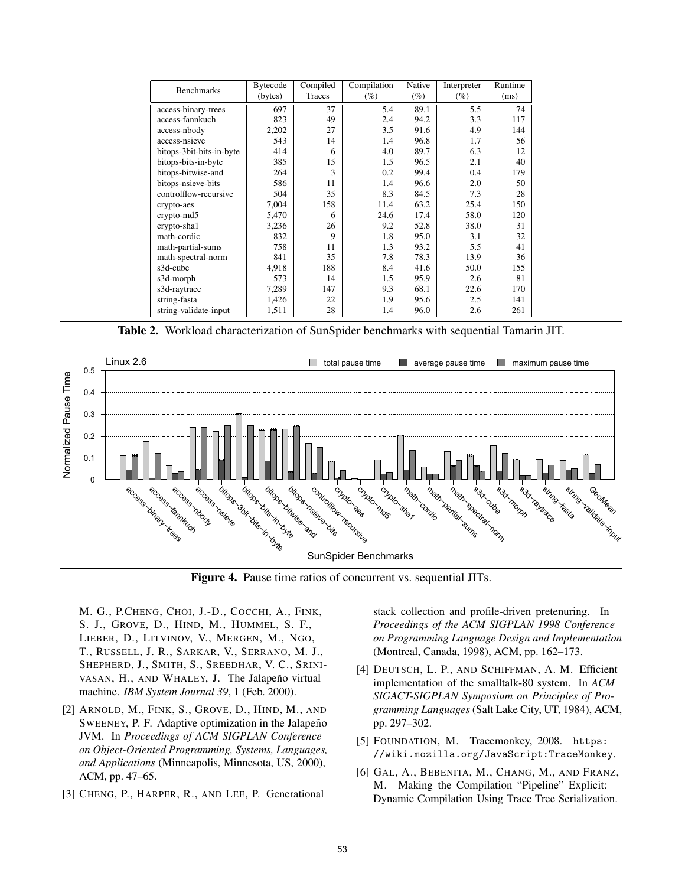| <b>Benchmarks</b>        | <b>Bytecode</b> | Compiled | Compilation | Native | Interpreter | Runtime |
|--------------------------|-----------------|----------|-------------|--------|-------------|---------|
|                          | (bytes)         | Traces   | (%)         | (%)    | (%)         | (ms)    |
| access-binary-trees      | 697             | 37       | 5.4         | 89.1   | 5.5         | 74      |
| access-fannkuch          | 823             | 49       | 2.4         | 94.2   | 3.3         | 117     |
| access-nbody             | 2,202           | 27       | 3.5         | 91.6   | 4.9         | 144     |
| access-nsieve            | 543             | 14       | 1.4         | 96.8   | 1.7         | 56      |
| bitops-3bit-bits-in-byte | 414             | 6        | 4.0         | 89.7   | 6.3         | 12      |
| bitops-bits-in-byte      | 385             | 15       | 1.5         | 96.5   | 2.1         | 40      |
| bitops-bitwise-and       | 264             | 3        | 0.2         | 99.4   | 0.4         | 179     |
| bitops-nsieve-bits       | 586             | 11       | 1.4         | 96.6   | 2.0         | 50      |
| controlflow-recursive    | 504             | 35       | 8.3         | 84.5   | 7.3         | 28      |
| crypto-aes               | 7.004           | 158      | 11.4        | 63.2   | 25.4        | 150     |
| crypto-md5               | 5,470           | 6        | 24.6        | 17.4   | 58.0        | 120     |
| crypto-sha1              | 3,236           | 26       | 9.2         | 52.8   | 38.0        | 31      |
| math-cordic              | 832             | 9        | 1.8         | 95.0   | 3.1         | 32      |
| math-partial-sums        | 758             | 11       | 1.3         | 93.2   | 5.5         | 41      |
| math-spectral-norm       | 841             | 35       | 7.8         | 78.3   | 13.9        | 36      |
| s3d-cube                 | 4,918           | 188      | 8.4         | 41.6   | 50.0        | 155     |
| s3d-morph                | 573             | 14       | 1.5         | 95.9   | 2.6         | 81      |
| s3d-raytrace             | 7,289           | 147      | 9.3         | 68.1   | 22.6        | 170     |
| string-fasta             | 1,426           | 22       | 1.9         | 95.6   | 2.5         | 141     |
| string-validate-input    | 1,511           | 28       | 1.4         | 96.0   | 2.6         | 261     |

Table 2. Workload characterization of SunSpider benchmarks with sequential Tamarin JIT.



Figure 4. Pause time ratios of concurrent vs. sequential JITs.

M. G., P.CHENG, CHOI, J.-D., COCCHI, A., FINK, S. J., GROVE, D., HIND, M., HUMMEL, S. F., LIEBER, D., LITVINOV, V., MERGEN, M., NGO, T., RUSSELL, J. R., SARKAR, V., SERRANO, M. J., SHEPHERD, J., SMITH, S., SREEDHAR, V. C., SRINI-VASAN, H., AND WHALEY, J. The Jalapeño virtual machine. *IBM System Journal 39*, 1 (Feb. 2000).

- [2] ARNOLD, M., FINK, S., GROVE, D., HIND, M., AND SWEENEY, P. F. Adaptive optimization in the Jalapeño JVM. In *Proceedings of ACM SIGPLAN Conference on Object-Oriented Programming, Systems, Languages, and Applications* (Minneapolis, Minnesota, US, 2000), ACM, pp. 47–65.
- [3] CHENG, P., HARPER, R., AND LEE, P. Generational

stack collection and profile-driven pretenuring. In *Proceedings of the ACM SIGPLAN 1998 Conference on Programming Language Design and Implementation* (Montreal, Canada, 1998), ACM, pp. 162–173.

- [4] DEUTSCH, L. P., AND SCHIFFMAN, A. M. Efficient implementation of the smalltalk-80 system. In *ACM SIGACT-SIGPLAN Symposium on Principles of Programming Languages* (Salt Lake City, UT, 1984), ACM, pp. 297–302.
- [5] FOUNDATION, M. Tracemonkey, 2008. https: //wiki.mozilla.org/JavaScript:TraceMonkey.
- [6] GAL, A., BEBENITA, M., CHANG, M., AND FRANZ, M. Making the Compilation "Pipeline" Explicit: Dynamic Compilation Using Trace Tree Serialization.